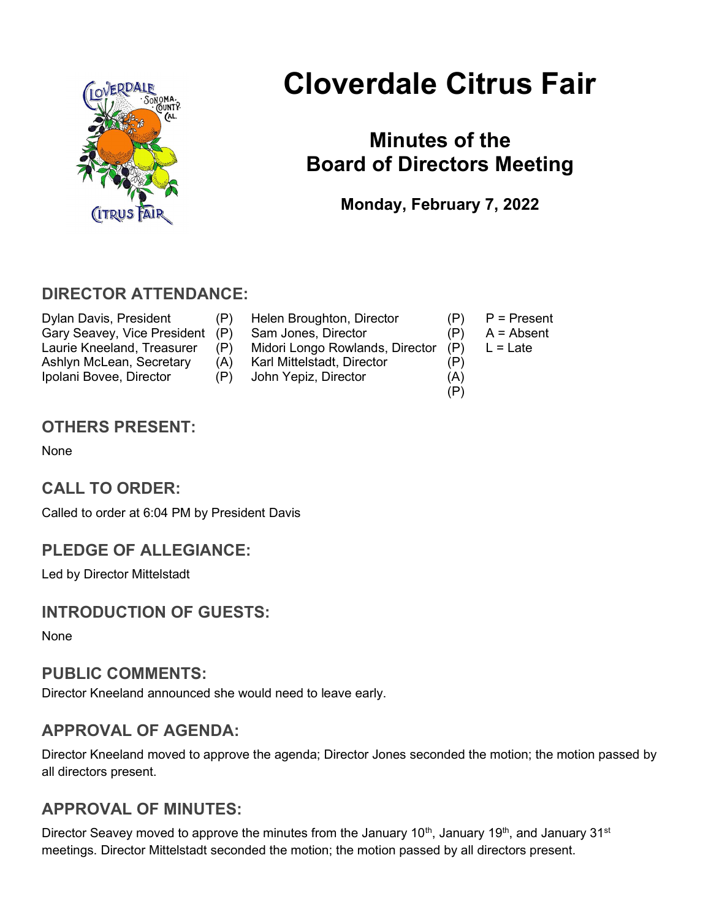

# Cloverdale Citrus Fair

## Minutes of the Board of Directors Meeting

Monday, February 7, 2022

## DIRECTOR ATTENDANCE:

- Dylan Davis, President (P) Helen Broughton, Director (P) P = Present<br>Gary Seavey. Vice President (P) Sam Jones. Director (P) A = Absent Gary Seavey, Vice President (P) Sam Jones, Director (P) Laurie Kneeland, Treasurer (P) Midori Longo Rowlands, Director (P) L = Late Ashlyn McLean, Secretary (A) Karl Mittelstadt, Director (P) Ipolani Bovee, Director (P) John Yepiz, Director (A)
- -
	-
	- (P)

## OTHERS PRESENT:

None

## CALL TO ORDER:

Called to order at 6:04 PM by President Davis

## PLEDGE OF ALLEGIANCE:

Led by Director Mittelstadt

## INTRODUCTION OF GUESTS:

None

#### PUBLIC COMMENTS:

Director Kneeland announced she would need to leave early.

## APPROVAL OF AGENDA:

Director Kneeland moved to approve the agenda; Director Jones seconded the motion; the motion passed by all directors present.

## APPROVAL OF MINUTES:

Director Seavey moved to approve the minutes from the January 10<sup>th</sup>, January 19<sup>th</sup>, and January 31<sup>st</sup> meetings. Director Mittelstadt seconded the motion; the motion passed by all directors present.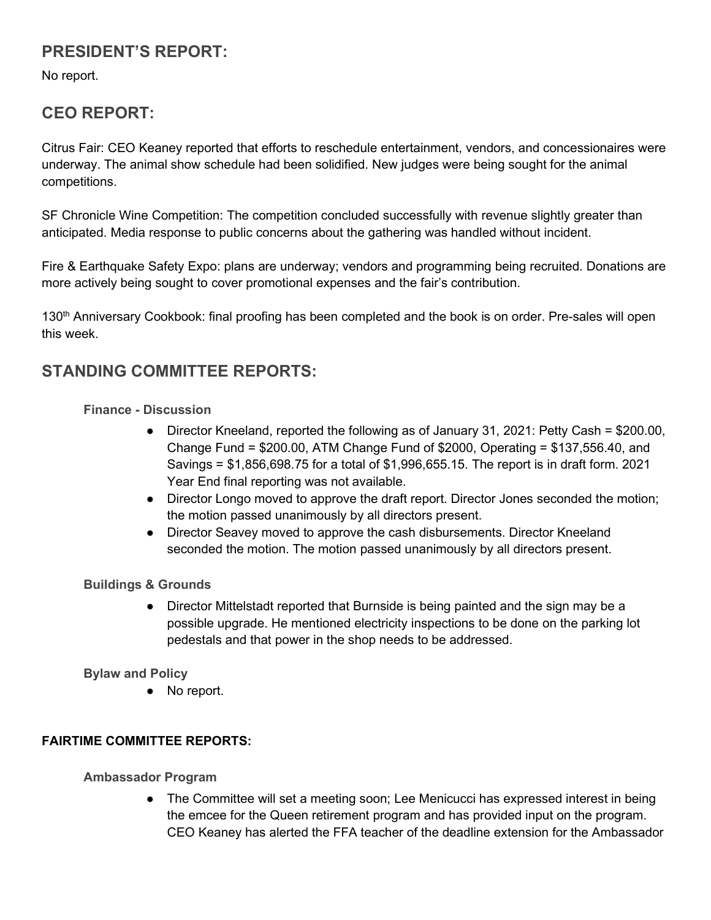## PRESIDENT'S REPORT:

No report.

## CEO REPORT:

Citrus Fair: CEO Keaney reported that efforts to reschedule entertainment, vendors, and concessionaires were underway. The animal show schedule had been solidified. New judges were being sought for the animal competitions.

SF Chronicle Wine Competition: The competition concluded successfully with revenue slightly greater than anticipated. Media response to public concerns about the gathering was handled without incident.

Fire & Earthquake Safety Expo: plans are underway; vendors and programming being recruited. Donations are more actively being sought to cover promotional expenses and the fair's contribution.

130<sup>th</sup> Anniversary Cookbook: final proofing has been completed and the book is on order. Pre-sales will open this week.

## STANDING COMMITTEE REPORTS:

#### Finance - Discussion

- Director Kneeland, reported the following as of January 31, 2021: Petty Cash = \$200.00, Change Fund = \$200.00, ATM Change Fund of \$2000, Operating = \$137,556.40, and Savings = \$1,856,698.75 for a total of \$1,996,655.15. The report is in draft form. 2021 Year End final reporting was not available.
- Director Longo moved to approve the draft report. Director Jones seconded the motion; the motion passed unanimously by all directors present.
- Director Seavey moved to approve the cash disbursements. Director Kneeland seconded the motion. The motion passed unanimously by all directors present.

#### Buildings & Grounds

● Director Mittelstadt reported that Burnside is being painted and the sign may be a possible upgrade. He mentioned electricity inspections to be done on the parking lot pedestals and that power in the shop needs to be addressed.

#### Bylaw and Policy

● No report.

#### FAIRTIME COMMITTEE REPORTS:

Ambassador Program

• The Committee will set a meeting soon; Lee Menicucci has expressed interest in being the emcee for the Queen retirement program and has provided input on the program. CEO Keaney has alerted the FFA teacher of the deadline extension for the Ambassador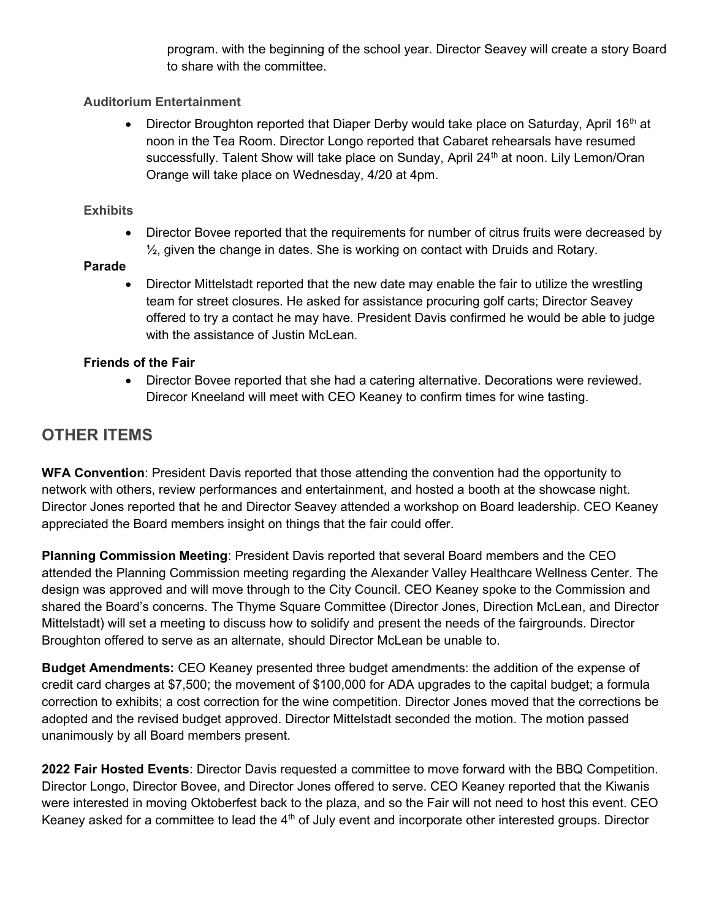program. with the beginning of the school year. Director Seavey will create a story Board to share with the committee.

#### Auditorium Entertainment

• Director Broughton reported that Diaper Derby would take place on Saturday, April 16<sup>th</sup> at noon in the Tea Room. Director Longo reported that Cabaret rehearsals have resumed successfully. Talent Show will take place on Sunday, April 24<sup>th</sup> at noon. Lily Lemon/Oran Orange will take place on Wednesday, 4/20 at 4pm.

#### **Exhibits**

• Director Bovee reported that the requirements for number of citrus fruits were decreased by ½, given the change in dates. She is working on contact with Druids and Rotary.

#### Parade

 Director Mittelstadt reported that the new date may enable the fair to utilize the wrestling team for street closures. He asked for assistance procuring golf carts; Director Seavey offered to try a contact he may have. President Davis confirmed he would be able to judge with the assistance of Justin McLean.

#### Friends of the Fair

 Director Bovee reported that she had a catering alternative. Decorations were reviewed. Direcor Kneeland will meet with CEO Keaney to confirm times for wine tasting.

## OTHER ITEMS

WFA Convention: President Davis reported that those attending the convention had the opportunity to network with others, review performances and entertainment, and hosted a booth at the showcase night. Director Jones reported that he and Director Seavey attended a workshop on Board leadership. CEO Keaney appreciated the Board members insight on things that the fair could offer.

Planning Commission Meeting: President Davis reported that several Board members and the CEO attended the Planning Commission meeting regarding the Alexander Valley Healthcare Wellness Center. The design was approved and will move through to the City Council. CEO Keaney spoke to the Commission and shared the Board's concerns. The Thyme Square Committee (Director Jones, Direction McLean, and Director Mittelstadt) will set a meeting to discuss how to solidify and present the needs of the fairgrounds. Director Broughton offered to serve as an alternate, should Director McLean be unable to.

Budget Amendments: CEO Keaney presented three budget amendments: the addition of the expense of credit card charges at \$7,500; the movement of \$100,000 for ADA upgrades to the capital budget; a formula correction to exhibits; a cost correction for the wine competition. Director Jones moved that the corrections be adopted and the revised budget approved. Director Mittelstadt seconded the motion. The motion passed unanimously by all Board members present.

2022 Fair Hosted Events: Director Davis requested a committee to move forward with the BBQ Competition. Director Longo, Director Bovee, and Director Jones offered to serve. CEO Keaney reported that the Kiwanis were interested in moving Oktoberfest back to the plaza, and so the Fair will not need to host this event. CEO Keaney asked for a committee to lead the  $4<sup>th</sup>$  of July event and incorporate other interested groups. Director